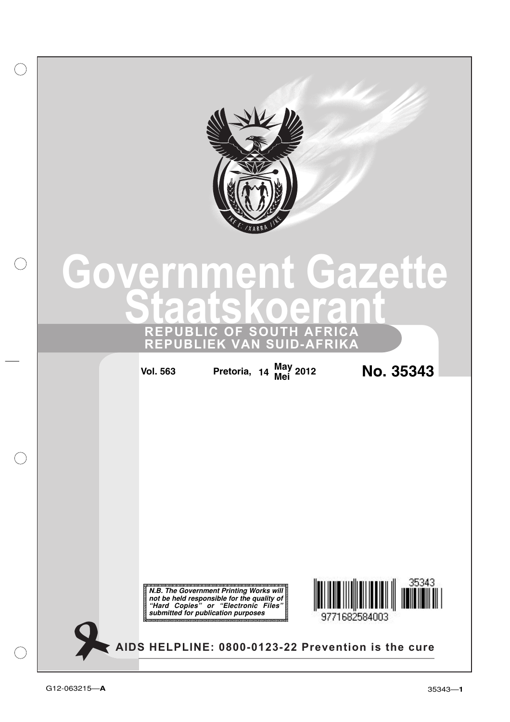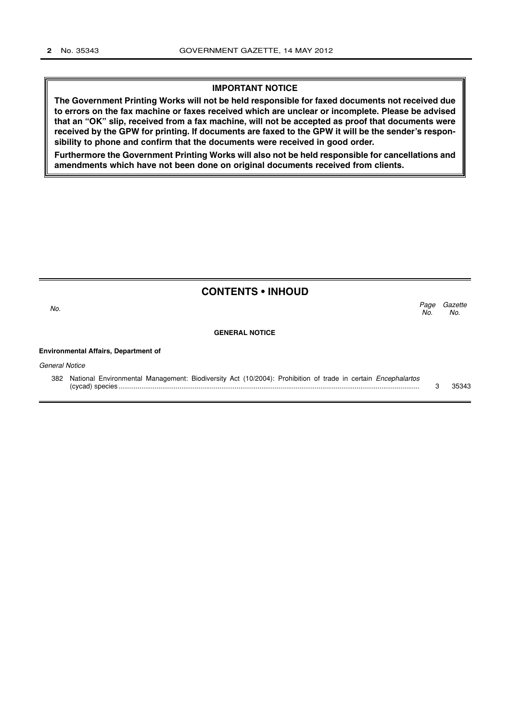#### **IMPORTANT NOTICE**

**The Government Printing Works will not be held responsible for faxed documents not received due to errors on the fax machine or faxes received which are unclear or incomplete. Please be advised that an "OK" slip, received from a fax machine, will not be accepted as proof that documents were received by the GPW for printing. If documents are faxed to the GPW it will be the sender's responsibility to phone and confirm that the documents were received in good order.**

**Furthermore the Government Printing Works will also not be held responsible for cancellations and amendments which have not been done on original documents received from clients.**

|                                             | <b>CONTENTS • INHOUD</b>                                                                                                |             |                |
|---------------------------------------------|-------------------------------------------------------------------------------------------------------------------------|-------------|----------------|
| No.                                         |                                                                                                                         | Page<br>No. | Gazette<br>No. |
|                                             | <b>GENERAL NOTICE</b>                                                                                                   |             |                |
| <b>Environmental Affairs, Department of</b> |                                                                                                                         |             |                |
| <b>General Notice</b>                       |                                                                                                                         |             |                |
|                                             | 382 National Environmental Management: Biodiversity Act (10/2004): Prohibition of trade in certain <i>Encephalartos</i> | 3           | 35343          |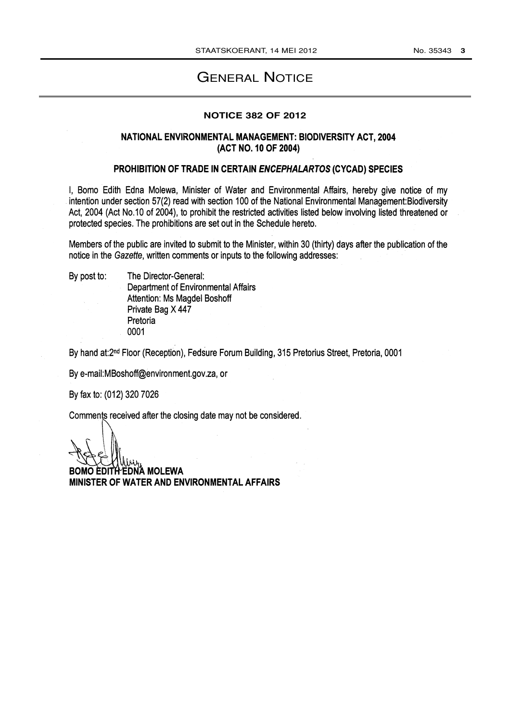# GENERAL NOTICE

#### **NOTICE 382 OF 2012**

## NATIONAL ENVIRONMENTAL MANAGEMENT: BIODIVERSITY ACT, 2004 (ACT NO. 10 OF 2004)

### PROHIBITION OF TRADE IN CERTAIN ENCEPHALARTOS (CYCAD) SPECIES

I, Bomo Edith Edna Molewa, Minister of Water and Environmental Affairs, hereby give notice of my intention under section 57(2) read with section 100 of the National Environmental Management: Biodiversity Act, 2004 (Act No.10 of 2004), to prohibit the restricted activities listed below involving listed threatened or protected species. The prohibitions are set out in the Schedule hereto.

Members of the public are invited to submit to the Minister, within 30 (thirty) days after the publication of the notice in the Gazette, written comments or inputs to the following addresses:

By post to:

The Director-General: **Department of Environmental Affairs** Attention: Ms Magdel Boshoff Private Bag X 447 Pretoria 0001

By hand at:2<sup>nd</sup> Floor (Reception), Fedsure Forum Building, 315 Pretorius Street, Pretoria, 0001

By e-mail:MBoshoff@environment.gov.za, or

By fax to: (012) 320 7026

Comments received after the closing date may not be considered.

Ή ΈDNΆ MOLEWA MINISTER OF WATER AND ENVIRONMENTAL AFFAIRS